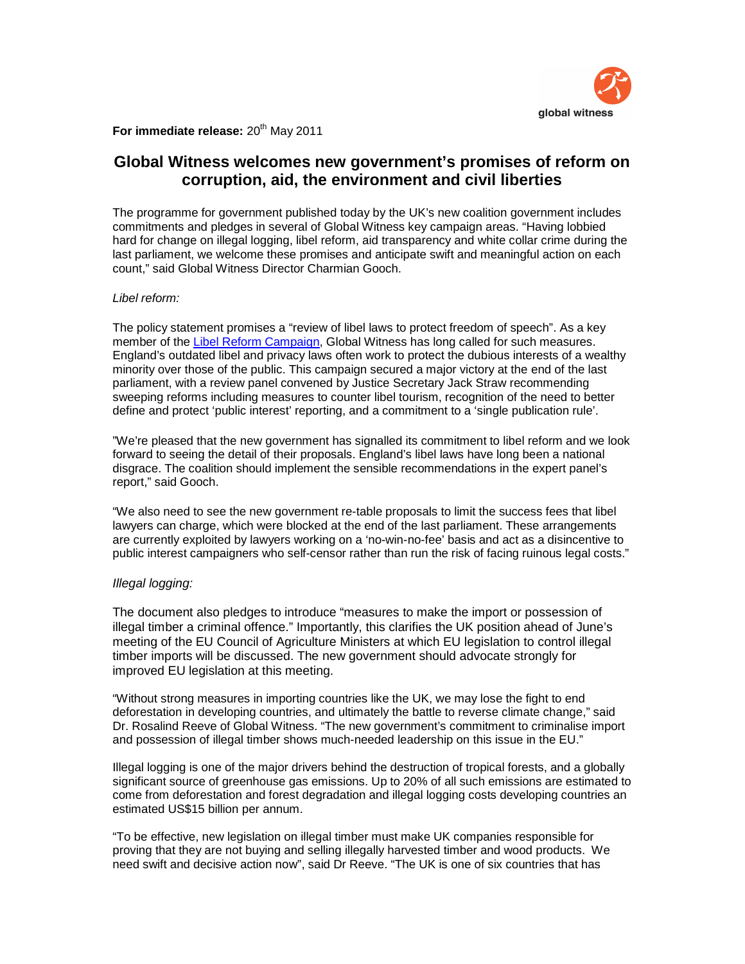

**For immediate release: 20<sup>th</sup> May 2011** 

# **Global Witness welcomes new government's promises of reform on corruption, aid, the environment and civil liberties**

The programme for government published today by the UK's new coalition government includes commitments and pledges in several of Global Witness key campaign areas. "Having lobbied hard for change on illegal logging, libel reform, aid transparency and white collar crime during the last parliament, we welcome these promises and anticipate swift and meaningful action on each count," said Global Witness Director Charmian Gooch.

# Libel reform:

The policy statement promises a "review of libel laws to protect freedom of speech". As a key member of the Libel Reform Campaign, Global Witness has long called for such measures. England's outdated libel and privacy laws often work to protect the dubious interests of a wealthy minority over those of the public. This campaign secured a major victory at the end of the last parliament, with a review panel convened by Justice Secretary Jack Straw recommending sweeping reforms including measures to counter libel tourism, recognition of the need to better define and protect 'public interest' reporting, and a commitment to a 'single publication rule'.

"We're pleased that the new government has signalled its commitment to libel reform and we look forward to seeing the detail of their proposals. England's libel laws have long been a national disgrace. The coalition should implement the sensible recommendations in the expert panel's report," said Gooch.

"We also need to see the new government re-table proposals to limit the success fees that libel lawyers can charge, which were blocked at the end of the last parliament. These arrangements are currently exploited by lawyers working on a 'no-win-no-fee' basis and act as a disincentive to public interest campaigners who self-censor rather than run the risk of facing ruinous legal costs."

## Illegal logging:

The document also pledges to introduce "measures to make the import or possession of illegal timber a criminal offence." Importantly, this clarifies the UK position ahead of June's meeting of the EU Council of Agriculture Ministers at which EU legislation to control illegal timber imports will be discussed. The new government should advocate strongly for improved EU legislation at this meeting.

"Without strong measures in importing countries like the UK, we may lose the fight to end deforestation in developing countries, and ultimately the battle to reverse climate change," said Dr. Rosalind Reeve of Global Witness. "The new government's commitment to criminalise import and possession of illegal timber shows much-needed leadership on this issue in the EU."

Illegal logging is one of the major drivers behind the destruction of tropical forests, and a globally significant source of greenhouse gas emissions. Up to 20% of all such emissions are estimated to come from deforestation and forest degradation and illegal logging costs developing countries an estimated US\$15 billion per annum.

"To be effective, new legislation on illegal timber must make UK companies responsible for proving that they are not buying and selling illegally harvested timber and wood products. We need swift and decisive action now", said Dr Reeve. "The UK is one of six countries that has